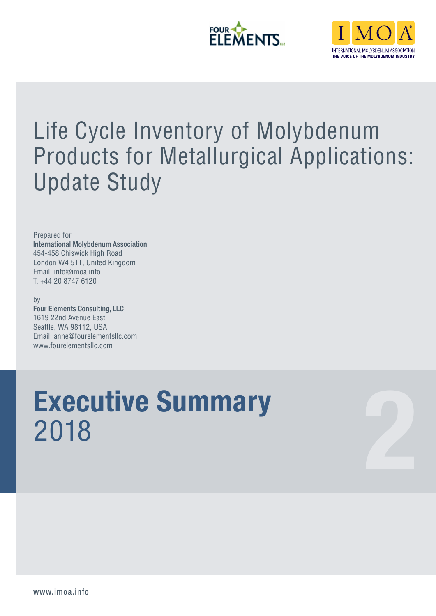



# Life Cycle Inventory of Molybdenum Products for Metallurgical Applications: Update Study

Prepared for International Molybdenum Association 454-458 Chiswick High Road London W4 5TT, United Kingdom Email: info@imoa.info T. +44 20 8747 6120

by Four Elements Consulting, LLC 1619 22nd Avenue East Seattle, WA 98112, USA Email: anne@fourelementsllc.com www.fourelementsllc.com

# **Executive Summary Executive Summary**<br>2018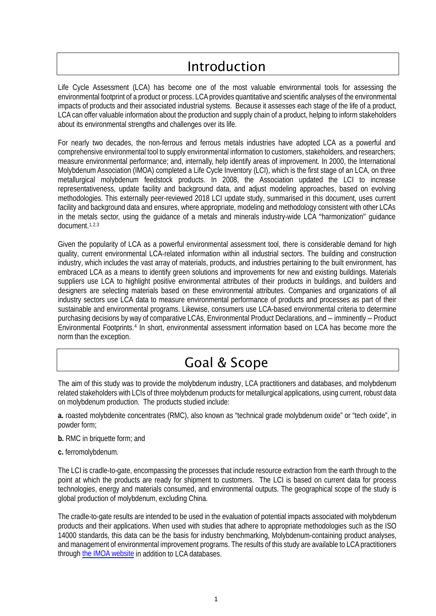## Introduction

Life Cycle Assessment (LCA) has become one of the most valuable environmental tools for assessing the environmental footprint of a product or process. LCA provides quantitative and scientific analyses of the environmental impacts of products and their associated industrial systems. Because it assesses each stage of the life of a product, LCA can offer valuable information about the production and supply chain of a product, helping to inform stakeholders about its environmental strengths and challenges over its life.

For nearly two decades, the non-ferrous and ferrous metals industries have adopted LCA as a powerful and comprehensive environmental tool to supply environmental information to customers, stakeholders, and researchers; measure environmental performance; and, internally, help identify areas of improvement. In 2000, the International Molybdenum Association (IMOA) completed a Life Cycle Inventory (LCI), which is the first stage of an LCA, on three metallurgical molybdenum feedstock products. In 2008, the Association updated the LCI to increase representativeness, update facility and background data, and adjust modeling approaches, based on evolving methodologies. This externally peer-reviewed 2018 LCI update study, summarised in this document, uses current facility and background data and ensures, where appropriate, modeling and methodology consistent with other LCAs in the metals sector, using the guidance of a metals and minerals industry-wide LCA "harmonization" guidance document.[1,](#page-3-0)[2](#page-3-1),[3](#page-3-2)

Given the popularity of LCA as a powerful environmental assessment tool, there is considerable demand for high quality, current environmental LCA-related information within all industrial sectors. The building and construction industry, which includes the vast array of materials, products, and industries pertaining to the built environment, has embraced LCA as a means to identify green solutions and improvements for new and existing buildings. Materials suppliers use LCA to highlight positive environmental attributes of their products in buildings, and builders and designers are selecting materials based on these environmental attributes. Companies and organizations of all industry sectors use LCA data to measure environmental performance of products and processes as part of their sustainable and environmental programs. Likewise, consumers use LCA-based environmental criteria to determine purchasing decisions by way of comparative LCAs, Environmental Product Declarations, and – imminently – Product Environmental Footprints. [4](#page-3-3) In short, environmental assessment information based on LCA has become more the norm than the exception.

### Goal & Scope

The aim of this study was to provide the molybdenum industry, LCA practitioners and databases, and molybdenum related stakeholders with LCIs of three molybdenum products for metallurgical applications, using current, robust data on molybdenum production. The products studied include:

**a.** roasted molybdenite concentrates (RMC), also known as "technical grade molybdenum oxide" or "tech oxide", in powder form;

- **b.** RMC in briquette form; and
- **c.** ferromolybdenum.

The LCI is cradle-to-gate, encompassing the processes that include resource extraction from the earth through to the point at which the products are ready for shipment to customers. The LCI is based on current data for process technologies, energy and materials consumed, and environmental outputs. The geographical scope of the study is global production of molybdenum, excluding China.

The cradle-to-gate results are intended to be used in the evaluation of potential impacts associated with molybdenum products and their applications. When used with studies that adhere to appropriate methodologies such as the ISO 14000 standards, this data can be the basis for industry benchmarking, Molybdenum-containing product analyses, and management of environmental improvement programs. The results of this study are available to LCA practitioners through the [IMOA website](https://www.imoa.info/HSE/LCI/life-cycle-assessment-program.php) in addition to LCA databases.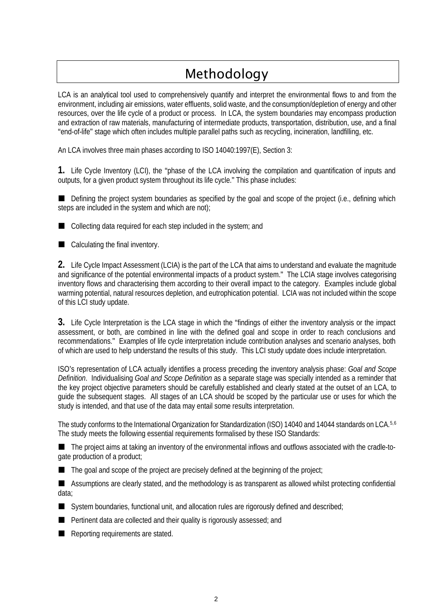# Methodology

LCA is an analytical tool used to comprehensively quantify and interpret the environmental flows to and from the environment, including air emissions, water effluents, solid waste, and the consumption/depletion of energy and other resources, over the life cycle of a product or process. In LCA, the system boundaries may encompass production and extraction of raw materials, manufacturing of intermediate products, transportation, distribution, use, and a final "end-of-life" stage which often includes multiple parallel paths such as recycling, incineration, landfilling, etc.

An LCA involves three main phases according to ISO 14040:1997(E), Section 3:

**1.** Life Cycle Inventory (LCI), the "phase of the LCA involving the compilation and quantification of inputs and outputs, for a given product system throughout its life cycle." This phase includes:

Defining the project system boundaries as specified by the goal and scope of the project (i.e., defining which steps are included in the system and which are not);

■ Collecting data required for each step included in the system; and

■ Calculating the final inventory.

**2.** Life Cycle Impact Assessment (LCIA) is the part of the LCA that aims to understand and evaluate the magnitude and significance of the potential environmental impacts of a product system." The LCIA stage involves categorising inventory flows and characterising them according to their overall impact to the category. Examples include global warming potential, natural resources depletion, and eutrophication potential. LCIA was not included within the scope of this LCI study update.

**3.** Life Cycle Interpretation is the LCA stage in which the "findings of either the inventory analysis or the impact assessment, or both, are combined in line with the defined goal and scope in order to reach conclusions and recommendations." Examples of life cycle interpretation include contribution analyses and scenario analyses, both of which are used to help understand the results of this study. This LCI study update does include interpretation.

ISO's representation of LCA actually identifies a process preceding the inventory analysis phase: *Goal and Scope Definition*. Individualising *Goal and Scope Definition* as a separate stage was specially intended as a reminder that the key project objective parameters should be carefully established and clearly stated at the outset of an LCA, to guide the subsequent stages. All stages of an LCA should be scoped by the particular use or uses for which the study is intended, and that use of the data may entail some results interpretation.

The study conforms to the International Organization for Standardization (ISO) 14040 and 14044 standards on LCA.<sup>[5](#page-3-4),[6](#page-3-5)</sup> The study meets the following essential requirements formalised by these ISO Standards:

 The project aims at taking an inventory of the environmental inflows and outflows associated with the cradle-togate production of a product;

 $\blacksquare$  The goal and scope of the project are precisely defined at the beginning of the project;

 Assumptions are clearly stated, and the methodology is as transparent as allowed whilst protecting confidential data;

System boundaries, functional unit, and allocation rules are rigorously defined and described;

**Pertinent data are collected and their quality is rigorously assessed; and** 

Reporting requirements are stated.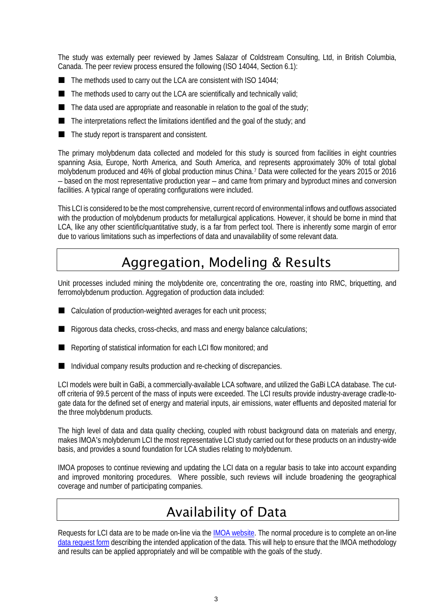The study was externally peer reviewed by James Salazar of Coldstream Consulting, Ltd, in British Columbia, Canada. The peer review process ensured the following (ISO 14044, Section 6.1):

- $\blacksquare$  The methods used to carry out the LCA are consistent with ISO 14044;
- $\blacksquare$  The methods used to carry out the LCA are scientifically and technically valid;
- $\blacksquare$  The data used are appropriate and reasonable in relation to the goal of the study;
- The interpretations reflect the limitations identified and the goal of the study; and
- The study report is transparent and consistent.

The primary molybdenum data collected and modeled for this study is sourced from facilities in eight countries spanning Asia, Europe, North America, and South America, and represents approximately 30% of total global molybdenum produced and 46% of global production minus China.[7](#page-3-6) Data were collected for the years 2015 or 2016 – based on the most representative production year – and came from primary and byproduct mines and conversion facilities. A typical range of operating configurations were included.

This LCI is considered to be the most comprehensive, current record of environmental inflows and outflows associated with the production of molybdenum products for metallurgical applications. However, it should be borne in mind that LCA, like any other scientific/quantitative study, is a far from perfect tool. There is inherently some margin of error due to various limitations such as imperfections of data and unavailability of some relevant data.

### Aggregation, Modeling & Results

Unit processes included mining the molybdenite ore, concentrating the ore, roasting into RMC, briquetting, and ferromolybdenum production. Aggregation of production data included:

- Calculation of production-weighted averages for each unit process;
- Rigorous data checks, cross-checks, and mass and energy balance calculations;
- Reporting of statistical information for each LCI flow monitored; and
- Individual company results production and re-checking of discrepancies.

LCI models were built in GaBi, a commercially-available LCA software, and utilized the GaBi LCA database. The cutoff criteria of 99.5 percent of the mass of inputs were exceeded. The LCI results provide industry-average cradle-togate data for the defined set of energy and material inputs, air emissions, water effluents and deposited material for the three molybdenum products.

<span id="page-3-1"></span><span id="page-3-0"></span>The high level of data and data quality checking, coupled with robust background data on materials and energy, makes IMOA's molybdenum LCI the most representative LCI study carried out for these products on an industry-wide basis, and provides a sound foundation for LCA studies relating to molybdenum.

<span id="page-3-3"></span><span id="page-3-2"></span>IMOA proposes to continue reviewing and updating the LCI data on a regular basis to take into account expanding and improved monitoring procedures. Where possible, such reviews will include broadening the geographical coverage and number of participating companies.

### Availability of Data

<span id="page-3-6"></span><span id="page-3-5"></span><span id="page-3-4"></span>Requests for LCI data are to be made on-line via the IMOA [website.](https://www.imoa.info/HSE/LCI/life-cycle-assessment-program.php) The normal procedure is to complete an on-line [data request form](https://www.imoa.info/HSE/LCI/onlineform/online_form.php) describing the intended application of the data. This will help to ensure that the IMOA methodology and results can be applied appropriately and will be compatible with the goals of the study.